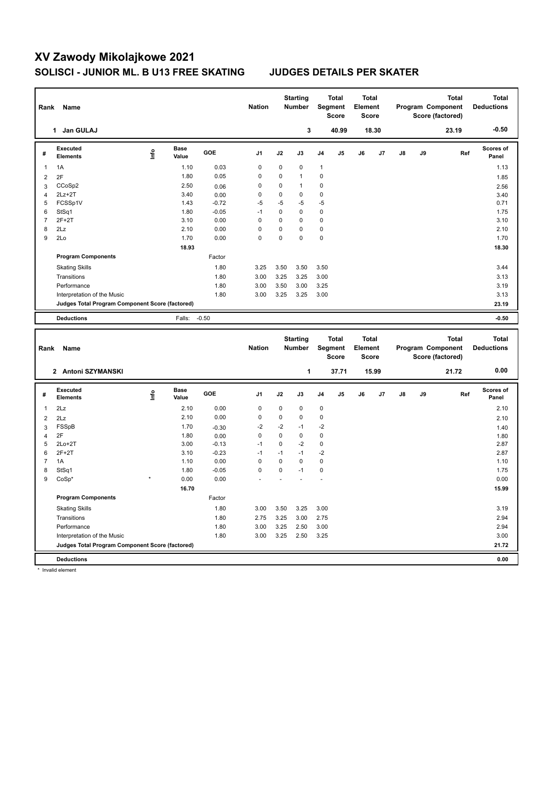## **XV Zawody Mikolajkowe 2021 SOLISCI - JUNIOR ML. B U13 FREE SKATING JUDGES DETAILS PER SKATER**

| Rank             | Name                                                                 |      |                      |                 | <b>Nation</b>              |                                            | <b>Starting</b><br>Number |                            | <b>Total</b><br>Segment<br><b>Score</b> | <b>Total</b><br>Element<br><b>Score</b> |       |               |    | <b>Total</b><br>Program Component<br>Score (factored) |     | <b>Total</b><br><b>Deductions</b> |
|------------------|----------------------------------------------------------------------|------|----------------------|-----------------|----------------------------|--------------------------------------------|---------------------------|----------------------------|-----------------------------------------|-----------------------------------------|-------|---------------|----|-------------------------------------------------------|-----|-----------------------------------|
|                  | 1 Jan GULAJ                                                          |      |                      |                 |                            |                                            | 3                         |                            | 40.99                                   |                                         | 18.30 |               |    | 23.19                                                 |     | $-0.50$                           |
| #                | <b>Executed</b><br><b>Elements</b>                                   | Lnfo | <b>Base</b><br>Value | GOE             | J <sub>1</sub>             | J2                                         | J3                        | J4                         | J5                                      | J6                                      | J7    | $\mathsf{J}8$ | J9 |                                                       | Ref | Scores of<br>Panel                |
| $\mathbf{1}$     | 1A                                                                   |      | 1.10                 | 0.03            | $\mathbf 0$                | 0                                          | $\mathbf 0$               | $\mathbf{1}$               |                                         |                                         |       |               |    |                                                       |     | 1.13                              |
| $\overline{2}$   | 2F                                                                   |      | 1.80                 | 0.05            | $\mathbf 0$                | 0                                          | $\mathbf{1}$              | $\mathbf 0$                |                                         |                                         |       |               |    |                                                       |     | 1.85                              |
| 3                | CCoSp2                                                               |      | 2.50                 | 0.06            | 0                          | 0                                          | $\mathbf{1}$              | 0                          |                                         |                                         |       |               |    |                                                       |     | 2.56                              |
| $\overline{4}$   | $2Lz+2T$                                                             |      | 3.40                 | 0.00            | 0                          | 0                                          | $\mathbf 0$               | 0                          |                                         |                                         |       |               |    |                                                       |     | 3.40                              |
| 5                | FCSSp1V                                                              |      | 1.43                 | $-0.72$         | $-5$                       | $-5$                                       | $-5$                      | $-5$                       |                                         |                                         |       |               |    |                                                       |     | 0.71                              |
| 6                | StSq1                                                                |      | 1.80                 | $-0.05$         | $-1$                       | $\pmb{0}$                                  | 0                         | $\mathbf 0$                |                                         |                                         |       |               |    |                                                       |     | 1.75                              |
| $\overline{7}$   | $2F+2T$                                                              |      | 3.10                 | 0.00            | $\mathbf 0$                | 0                                          | $\mathbf 0$               | $\mathbf 0$                |                                         |                                         |       |               |    |                                                       |     | 3.10                              |
| 8                | 2Lz                                                                  |      | 2.10                 | 0.00            | $\mathbf 0$                | 0                                          | $\mathbf 0$               | $\mathbf 0$                |                                         |                                         |       |               |    |                                                       |     | 2.10                              |
| 9                | 2Lo                                                                  |      | 1.70                 | 0.00            | $\mathbf 0$                | 0                                          | $\mathbf 0$               | $\mathbf 0$                |                                         |                                         |       |               |    |                                                       |     | 1.70                              |
|                  |                                                                      |      | 18.93                |                 |                            |                                            |                           |                            |                                         |                                         |       |               |    |                                                       |     | 18.30                             |
|                  | <b>Program Components</b>                                            |      |                      | Factor          |                            |                                            |                           |                            |                                         |                                         |       |               |    |                                                       |     |                                   |
|                  | <b>Skating Skills</b>                                                |      |                      | 1.80            | 3.25                       | 3.50                                       | 3.50                      | 3.50                       |                                         |                                         |       |               |    |                                                       |     | 3.44                              |
|                  | Transitions                                                          |      |                      | 1.80            | 3.00                       | 3.25                                       | 3.25                      | 3.00                       |                                         |                                         |       |               |    |                                                       |     | 3.13                              |
|                  | Performance                                                          |      |                      | 1.80            | 3.00                       | 3.50                                       | 3.00                      | 3.25                       |                                         |                                         |       |               |    |                                                       |     | 3.19                              |
|                  | Interpretation of the Music                                          |      |                      | 1.80            | 3.00                       | 3.25                                       | 3.25                      | 3.00                       |                                         |                                         |       |               |    |                                                       |     | 3.13                              |
|                  | Judges Total Program Component Score (factored)                      |      |                      |                 |                            |                                            |                           |                            |                                         |                                         |       |               |    |                                                       |     | 23.19                             |
|                  | <b>Deductions</b>                                                    |      | Falls:               | $-0.50$         |                            |                                            |                           |                            |                                         |                                         |       |               |    |                                                       |     | $-0.50$                           |
|                  |                                                                      |      |                      |                 |                            |                                            |                           |                            |                                         |                                         |       |               |    |                                                       |     |                                   |
|                  | Rank<br>Name                                                         |      |                      |                 |                            | <b>Starting</b><br><b>Nation</b><br>Number |                           |                            |                                         |                                         |       |               |    |                                                       |     |                                   |
|                  |                                                                      |      |                      |                 |                            |                                            |                           |                            | <b>Total</b><br><b>Segment</b><br>Score | <b>Total</b><br>Element<br>Score        |       |               |    | <b>Total</b><br>Program Component<br>Score (factored) |     | <b>Total</b><br><b>Deductions</b> |
|                  | 2 Antoni SZYMANSKI                                                   |      |                      |                 |                            |                                            | 1                         |                            | 37.71                                   |                                         | 15.99 |               |    | 21.72                                                 |     | 0.00                              |
| #                | <b>Executed</b><br><b>Elements</b>                                   | Lnfo | <b>Base</b><br>Value | GOE             | J1                         | J2                                         | J3                        | J4                         | J5                                      | J6                                      | J7    | J8            | J9 |                                                       | Ref | Scores of<br>Panel                |
|                  |                                                                      |      |                      |                 |                            |                                            |                           |                            |                                         |                                         |       |               |    |                                                       |     |                                   |
| $\mathbf{1}$     | 2Lz                                                                  |      | 2.10<br>2.10         | 0.00<br>0.00    | $\mathbf 0$<br>$\mathbf 0$ | 0<br>0                                     | 0<br>$\mathbf 0$          | $\mathbf 0$<br>$\mathbf 0$ |                                         |                                         |       |               |    |                                                       |     | 2.10                              |
| $\overline{2}$   | 2Lz                                                                  |      | 1.70                 |                 | $-2$                       | $-2$                                       | $-1$                      | $-2$                       |                                         |                                         |       |               |    |                                                       |     | 2.10                              |
| $\mathbf{3}$     | FSSpB<br>2F                                                          |      | 1.80                 | $-0.30$         | $\mathbf 0$                | $\pmb{0}$                                  | $\pmb{0}$                 | $\mathbf 0$                |                                         |                                         |       |               |    |                                                       |     | 1.40                              |
| 4<br>5           | $2Lo+2T$                                                             |      | 3.00                 | 0.00<br>$-0.13$ | $-1$                       | 0                                          | $-2$                      | $\mathbf 0$                |                                         |                                         |       |               |    |                                                       |     | 1.80<br>2.87                      |
| 6                | $2F+2T$                                                              |      | 3.10                 | $-0.23$         | $-1$                       | $-1$                                       | $-1$                      | $-2$                       |                                         |                                         |       |               |    |                                                       |     | 2.87                              |
| $\overline{7}$   | 1A                                                                   |      | 1.10                 | 0.00            | $\mathbf 0$                | $\pmb{0}$                                  | $\pmb{0}$                 | $\mathbf 0$                |                                         |                                         |       |               |    |                                                       |     | 1.10                              |
| 8                | StSq1                                                                |      | 1.80                 | $-0.05$         | $\mathbf 0$                | 0                                          | $-1$                      | 0                          |                                         |                                         |       |               |    |                                                       |     | 1.75                              |
| $\boldsymbol{9}$ | $CoSp*$                                                              |      | 0.00                 | 0.00            |                            |                                            |                           |                            |                                         |                                         |       |               |    |                                                       |     | 0.00                              |
|                  |                                                                      |      | 16.70                |                 |                            |                                            |                           |                            |                                         |                                         |       |               |    |                                                       |     | 15.99                             |
|                  | <b>Program Components</b>                                            |      |                      | Factor          |                            |                                            |                           |                            |                                         |                                         |       |               |    |                                                       |     |                                   |
|                  |                                                                      |      |                      | 1.80            | 3.00                       |                                            |                           |                            |                                         |                                         |       |               |    |                                                       |     | 3.19                              |
|                  | <b>Skating Skills</b>                                                |      |                      |                 |                            | 3.50                                       | 3.25                      | 3.00                       |                                         |                                         |       |               |    |                                                       |     |                                   |
|                  | Transitions                                                          |      |                      | 1.80            | 2.75                       | 3.25                                       | 3.00                      | 2.75                       |                                         |                                         |       |               |    |                                                       |     | 2.94                              |
|                  | Performance                                                          |      |                      | 1.80            | 3.00                       | 3.25                                       | 2.50                      | 3.00                       |                                         |                                         |       |               |    |                                                       |     | 2.94                              |
|                  | Interpretation of the Music                                          |      |                      | 1.80            | 3.00                       | 3.25                                       | 2.50                      | 3.25                       |                                         |                                         |       |               |    |                                                       |     | 3.00                              |
|                  | Judges Total Program Component Score (factored)<br><b>Deductions</b> |      |                      |                 |                            |                                            |                           |                            |                                         |                                         |       |               |    |                                                       |     | 21.72<br>0.00                     |

\* Invalid element